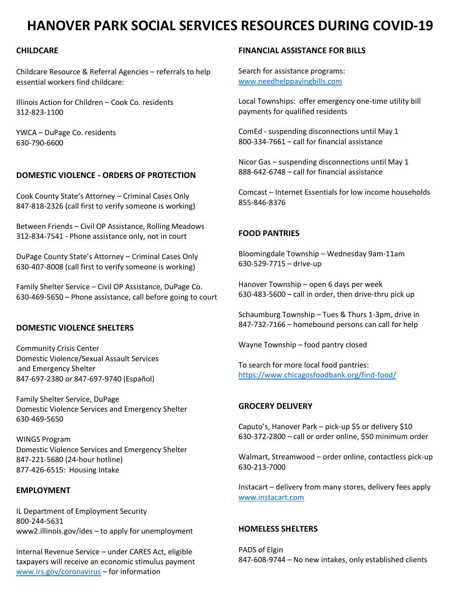# **HANOVER PARK SOCIAL SERVICES RESOURCES DURING COVID-19**

# **CHILDCARE**

Childcare Resource & Referral Agencies – referrals to help essential workers find childcare:

Illinois Action for Children – Cook Co. residents 312-823-1100

YWCA – DuPage Co. residents 630-790-6600

### **DOMESTIC VIOLENCE - ORDERS OF PROTECTION**

Cook County State's Attorney – Criminal Cases Only 847-818-2326 (call first to verify someone is working)

Between Friends – Civil OP Assistance, Rolling Meadows 312-834-7541 - Phone assistance only, not in court

DuPage County State's Attorney – Criminal Cases Only 630-407-8008 (call first to verify someone is working)

Family Shelter Service – Civil OP Assistance, DuPage Co. 630-469-5650 – Phone assistance, call before going to court

#### **DOMESTIC VIOLENCE SHELTERS**

Community Crisis Center Domestic Violence/Sexual Assault Services and Emergency Shelter 847-697-2380 or 847-697-9740 (Español)

Family Shelter Service, DuPage Domestic Violence Services and Emergency Shelter 630-469-5650

WINGS Program Domestic Violence Services and Emergency Shelter 847-221-5680 (24-hour hotline) 877-426-6515: Housing Intake

#### **EMPLOYMENT**

IL Department of Employment Security 800-244-5631 www2.illinois.gov/ides – to apply for unemployment

Internal Revenue Service – under CARES Act, eligible taxpayers will receive an economic stimulus payment [www.irs.gov/coronavirus](http://www.irs.gov/coronavirus) – for information

## **FINANCIAL ASSISTANCE FOR BILLS**

Search for assistance programs: [www.needhelppayingbills.com](http://www.needhelppayingbills.com/)

Local Townships: offer emergency one-time utility bill payments for qualified residents

ComEd - suspending disconnections until May 1 800-334-7661 – call for financial assistance

Nicor Gas – suspending disconnections until May 1 888-642-6748 – call for financial assistance

Comcast – Internet Essentials for low income households 855-846-8376

## **FOOD PANTRIES**

Bloomingdale Township – Wednesday 9am-11am 630-529-7715 – drive-up

Hanover Township – open 6 days per week 630-483-5600 – call in order, then drive-thru pick up

Schaumburg Township – Tues & Thurs 1-3pm, drive in 847-732-7166 – homebound persons can call for help

Wayne Township – food pantry closed

To search for more local food pantries: <https://www.chicagosfoodbank.org/find-food/>

## **GROCERY DELIVERY**

Caputo's, Hanover Park – pick-up \$5 or delivery \$10 630-372-2800 – call or order online, \$50 minimum order

Walmart, Streamwood – order online, contactless pick-up 630-213-7000

Instacart – delivery from many stores, delivery fees apply [www.instacart.com](http://www.instacart.com/)

## **HOMELESS SHELTERS**

PADS of Elgin 847-608-9744 – No new intakes, only established clients